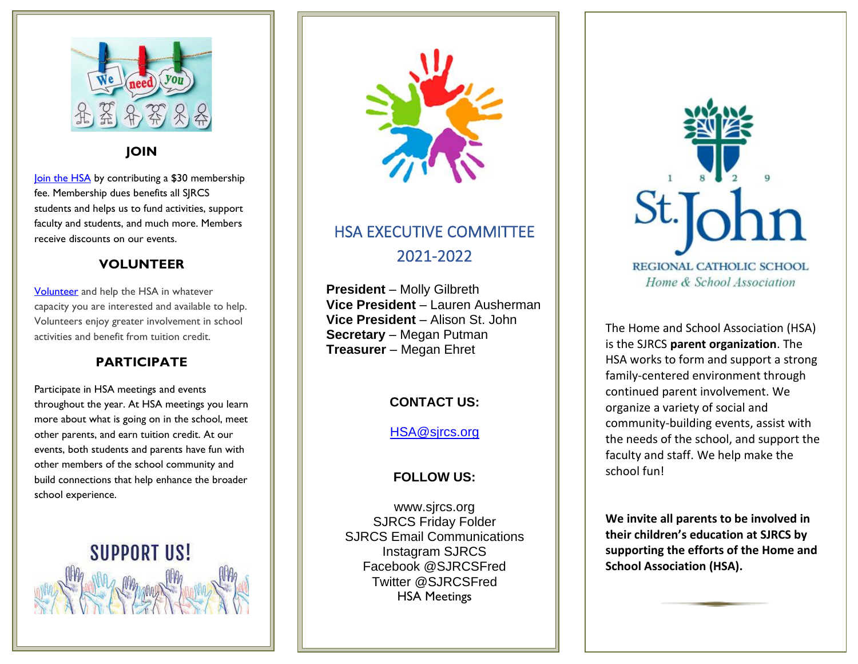

#### **JOIN**

[Join the HSA](https://www.myschoolbucks.com/ver2/stores/catalog/getproduct?requestAction=ViewAll&clientKey=ZZHN21AU9M05WZW&productGroupKey=ZZISLW7GLS0ZJXD&view=&productKey=ZZISLW612B0ZX7K) by contributing a \$30 membership fee. Membership dues benefits all SJRCS students and helps us to fund activities, support faculty and students, and much more. Members receive discounts on our events.

#### **VOLUNTEER**

**[Volunteer](https://forms.gle/DDpvSpANN7sBcVih6)** and help the HSA in whatever capacity you are interested and available to help. Volunteers enjoy greater involvement in school activities and benefit from tuition credit.

## **PARTICIPATE**

Participate in HSA meetings and events throughout the year. At HSA meetings you learn more about what is going on in the school, meet other parents, and earn tuition credit. At our events, both students and parents have fun with other members of the school community and build connections that help enhance the broader school experience.





# HSA EXECUTIVE COMMITTEE 2021-2022

**President** – Molly Gilbreth **Vice President** – Lauren Ausherman **Vice President** – Alison St. John **Secretary** – Megan Putman **Treasurer** – Megan Ehret

#### **CONTACT US:**

#### [HSA@sjrcs.org](mailto:HSA@sjrcs.org)

## **FOLLOW US:**

www.sjrcs.org SJRCS Friday Folder SJRCS Email Communications Instagram SJRCS Facebook @SJRCSFred Twitter @SJRCSFred HSA Meetings

Facebook @SJRCSFred



The Home and School Association (HSA) is the SJRCS **parent organization**. The HSA works to form and support a strong family-centered environment through continued parent involvement. We organize a variety of social and community-building events, assist with the needs of the school, and support the faculty and staff. We help make the school fun!

**We invite all parents to be involved in their children's education at SJRCS by supporting the efforts of the Home and School Association (HSA).**